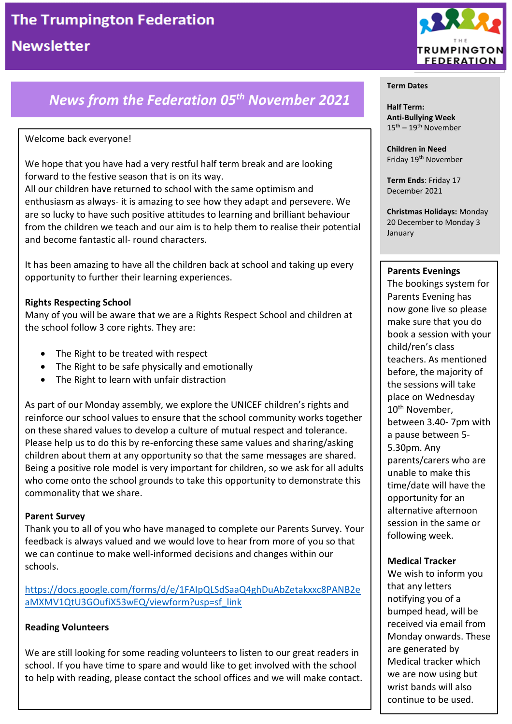# *News from the Federation 05th November 2021*

#### Welcome back everyone!

We hope that you have had a very restful half term break and are looking forward to the festive season that is on its way.

All our children have returned to school with the same optimism and enthusiasm as always- it is amazing to see how they adapt and persevere. We are so lucky to have such positive attitudes to learning and brilliant behaviour from the children we teach and our aim is to help them to realise their potential and become fantastic all- round characters.

It has been amazing to have all the children back at school and taking up every opportunity to further their learning experiences.

#### **Rights Respecting School**

Many of you will be aware that we are a Rights Respect School and children at the school follow 3 core rights. They are:

- The Right to be treated with respect
- The Right to be safe physically and emotionally
- The Right to learn with unfair distraction

As part of our Monday assembly, we explore the UNICEF children's rights and reinforce our school values to ensure that the school community works together on these shared values to develop a culture of mutual respect and tolerance. Please help us to do this by re-enforcing these same values and sharing/asking children about them at any opportunity so that the same messages are shared. Being a positive role model is very important for children, so we ask for all adults who come onto the school grounds to take this opportunity to demonstrate this commonality that we share.

#### **Parent Survey**

Thank you to all of you who have managed to complete our Parents Survey. Your feedback is always valued and we would love to hear from more of you so that we can continue to make well-informed decisions and changes within our schools.

[https://docs.google.com/forms/d/e/1FAIpQLSdSaaQ4ghDuAbZetakxxc8PANB2e](https://docs.google.com/forms/d/e/1FAIpQLSdSaaQ4ghDuAbZetakxxc8PANB2eaMXMV1QtU3GOufiX53wEQ/viewform?usp=sf_link) [aMXMV1QtU3GOufiX53wEQ/viewform?usp=sf\\_link](https://docs.google.com/forms/d/e/1FAIpQLSdSaaQ4ghDuAbZetakxxc8PANB2eaMXMV1QtU3GOufiX53wEQ/viewform?usp=sf_link)

#### **Reading Volunteers**

We are still looking for some reading volunteers to listen to our great readers in school. If you have time to spare and would like to get involved with the school to help with reading, please contact the school offices and we will make contact.



#### **Term Dates**

**Half Term: Anti-Bullying Week**  $15^{\text{th}} - 19^{\text{th}}$  November

**Children in Need** Friday 19<sup>th</sup> November

**Term Ends**: Friday 17 December 2021

**Christmas Holidays:** Monday 20 December to Monday 3 January

#### **Parents Evenings**

The bookings system for Parents Evening has now gone live so please make sure that you do book a session with your child/ren's class teachers. As mentioned before, the majority of the sessions will take place on Wednesday 10<sup>th</sup> November, between 3.40- 7pm with a pause between 5- 5.30pm. Any parents/carers who are unable to make this time/date will have the opportunity for an alternative afternoon session in the same or following week.

#### **Medical Tracker**

We wish to inform you that any letters notifying you of a bumped head, will be received via email from Monday onwards. These are generated by Medical tracker which we are now using but wrist bands will also continue to be used.